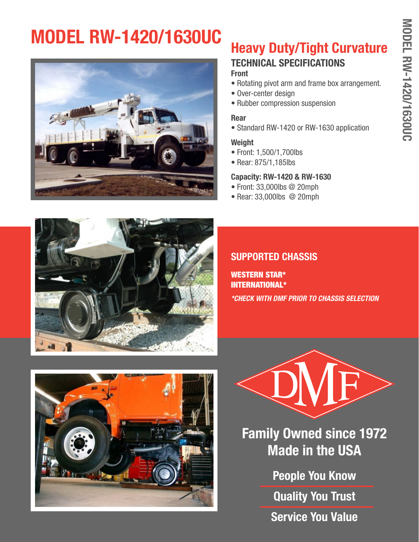# **MODEL RW-1420/1630UC**



## **Heavy Duty/Tight Curvature**

#### **TECHNICAL SPECIFICATIONS Front**

- Rotating pivot arm and frame box arrangement.
- Over-center design
- Rubber compression suspension

#### **Rear**

• Standard RW-1420 or RW-1630 application

#### **Weight**

- Front: 1,500/1,700lbs
- Rear: 875/1,185lbs

#### **Capacity: RW-1420 & RW-1630**

- Front: 33,000lbs @ 20mph
- Rear: 33,000lbs @ 20mph



### **SUPPORTED CHASSIS**

WESTERN STAR\* INTERNATIONAL\* *\*CHECK WITH DMF PRIOR TO CHASSIS SELECTION*





**Family Owned since 1972 Made in the USA**

> **People You Know Quality You Trust Service You Value**